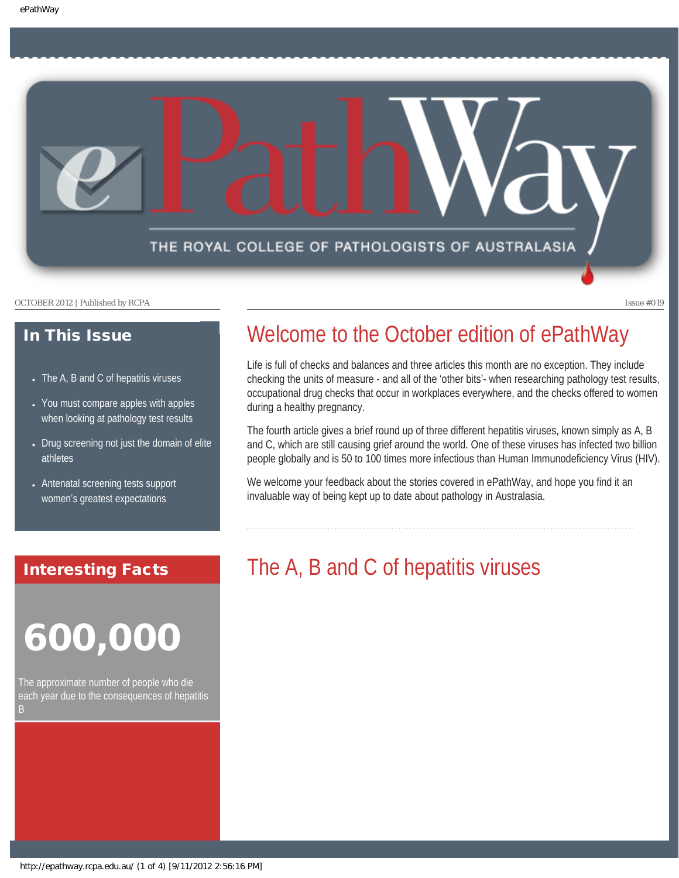

### In This Issue

- [The A, B and C of hepatitis viruses](#page-0-0)
- You must compare apples with apples [when looking at pathology test results](#page-1-0)
- Drug screening not just the domain of elite [athletes](#page-1-1)
- Antenatal screening tests support women'[s greatest expectations](#page-2-0)

## Welcome to the October edition of ePathWay

Life is full of checks and balances and three articles this month are no exception. They include checking the units of measure - and all of the 'other bits'- when researching pathology test results, occupational drug checks that occur in workplaces everywhere, and the checks offered to women during a healthy pregnancy.

The fourth article gives a brief round up of three different hepatitis viruses, known simply as A, B and C, which are still causing grief around the world. One of these viruses has infected two billion people globally and is 50 to 100 times more infectious than Human Immunodeficiency Virus (HIV).

We welcome your feedback about the stories covered in ePathWay, and hope you find it an invaluable way of being kept up to date about pathology in Australasia.

### <span id="page-0-0"></span>Interesting Facts

# 600,000

The approximate number of people who die each year due to the consequences of hepatitis B

## The A, B and C of hepatitis viruses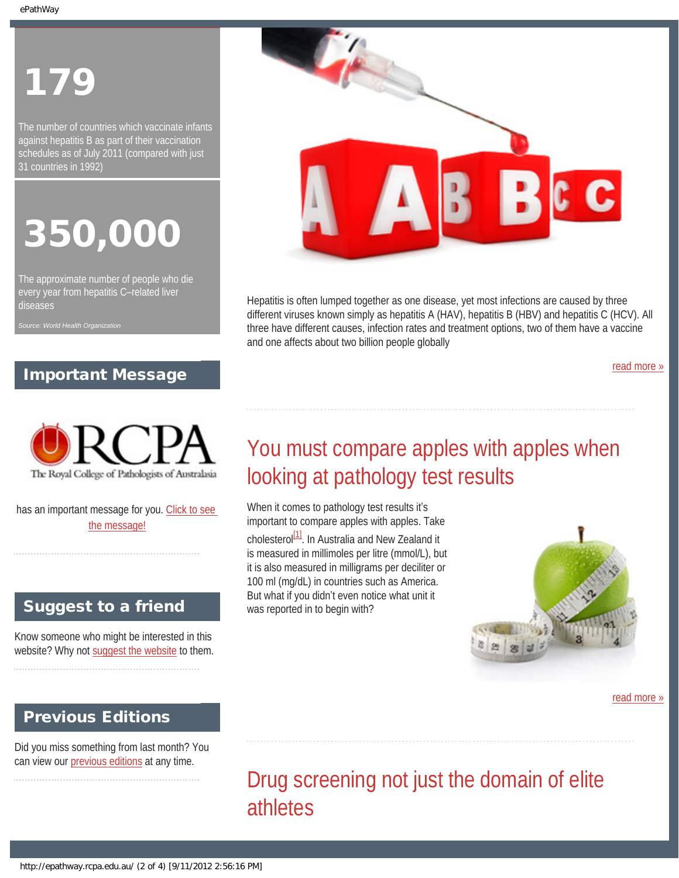# 179

The number of countries which vaccinate infants against hepatitis B as part of their vaccination schedules as of July 2011 (compared with just 31 countries in 1992)

# 350,000

The approximate number of people who die every year from hepatitis C–related liver diseases

### Important Message

<span id="page-1-0"></span>

has an important message for you. [Click to see](http://epathway.rcpa.edu.au/notice.html) [the message!](http://epathway.rcpa.edu.au/notice.html)

### Suggest to a friend

Know someone who might be interested in this website? Why not [suggest the website](mailto:?Subject=I%20think%20you%20should%20read%20this%20Newsletter=
http://epathway.rcpa.edu.au/index.html) to them.

### Previous Editions

Did you miss something from last month? You can view our [previous editions](#page-4-0) at any time.

<span id="page-1-1"></span>



Hepatitis is often lumped together as one disease, yet most infections are caused by three different viruses known simply as hepatitis A (HAV), hepatitis B (HBV) and hepatitis C (HCV). All three have different causes, infection rates and treatment options, two of them have a vaccine and one affects about two billion people globally

[read more »](#page-6-0)

# You must compare apples with apples when looking at pathology test results

When it comes to pathology test results it's important to compare apples with apples. Take cholesterol<sup>[\[1\]](#page-10-0)</sup>. In Australia and New Zealand it is measured in millimoles per litre (mmol/L), but it is also measured in milligrams per deciliter or 100 ml (mg/dL) in countries such as America. But what if you didn't even notice what unit it was reported in to begin with?



[read more »](#page-9-0)

# Drug screening not just the domain of elite athletes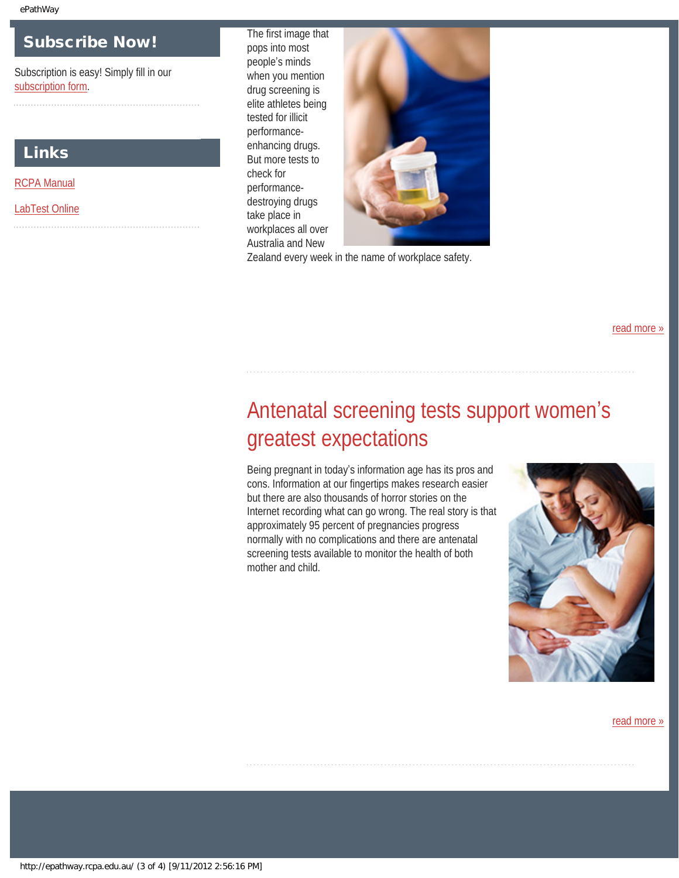### Subscribe Now!

Subscription is easy! Simply fill in our [subscription form.](http://epathway.rcpa.edu.au/subscription.html)

### Links

[RCPA Manual](http://rcpamanual.edu.au/)

<span id="page-2-0"></span>[LabTest Online](http://www.labtestsonline.org.au/)

The first image that pops into most people's minds when you mention drug screening is elite athletes being tested for illicit performanceenhancing drugs. But more tests to check for performancedestroying drugs take place in workplaces all over Australia and New



Zealand every week in the name of workplace safety.

### [read more »](#page-11-0)

# Antenatal screening tests support women's greatest expectations

Being pregnant in today's information age has its pros and cons. Information at our fingertips makes research easier but there are also thousands of horror stories on the Internet recording what can go wrong. The real story is that approximately 95 percent of pregnancies progress normally with no complications and there are antenatal screening tests available to monitor the health of both mother and child.



#### [read more »](#page-13-0)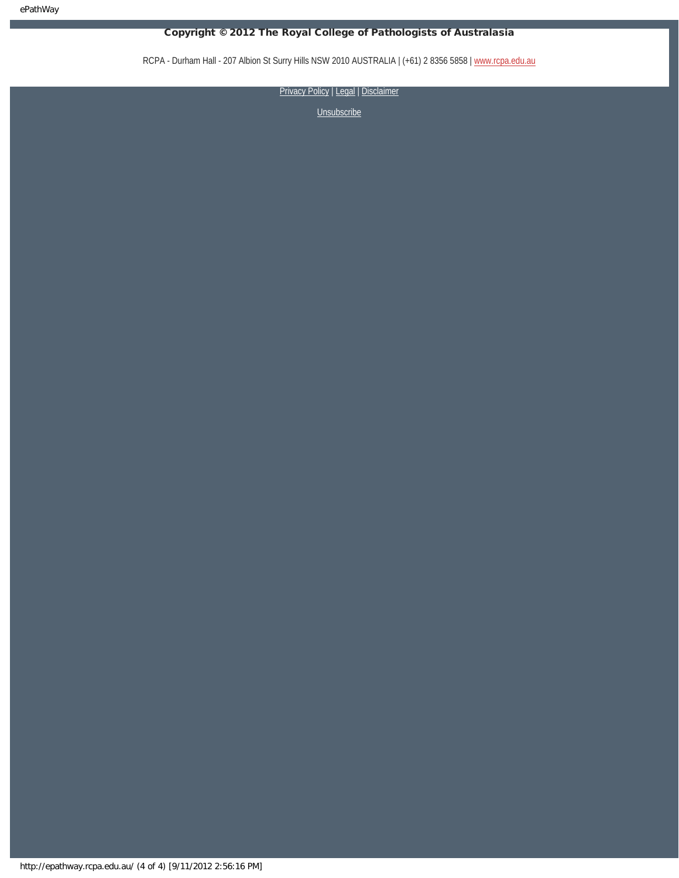### Copyright © 2012 The Royal College of Pathologists of Australasia

RCPA - Durham Hall - 207 Albion St Surry Hills NSW 2010 AUSTRALIA | (+61) 2 8356 5858 | [www.rcpa.edu.au](http://www.rcpa.edu.au/)

[Privacy Policy](http://www.rcpa.edu.au/Privacy.htm) | [Legal](http://www.rcpa.edu.au/Legal.htm) | Disclaimer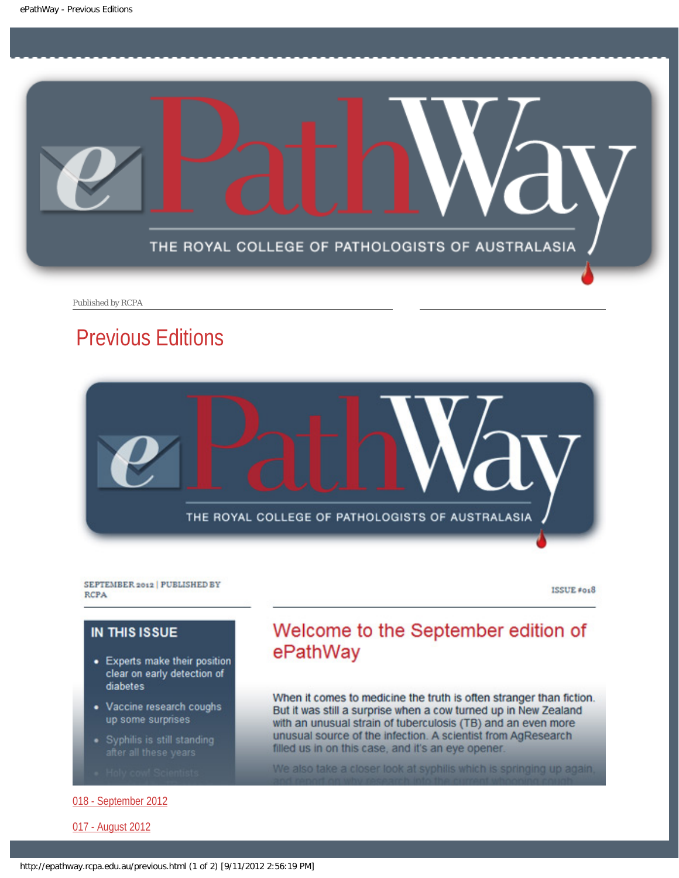<span id="page-4-0"></span>

Published by RCPA

## Previous Editions



SEPTEMBER 2012 | PUBLISHED BY **RCPA** 

ISSUE#018

### **IN THIS ISSUE**

- Experts make their position clear on early detection of diabetes
- Vaccine research coughs up some surprises
- · Syphilis is still standing

#### [018 - September 2012](http://epathway.rcpa.edu.au/previous/018_0912.pdf)

[017 - August 2012](http://epathway.rcpa.edu.au/previous/017_0812.pdf)

### Welcome to the September edition of ePathWay

When it comes to medicine the truth is often stranger than fiction. But it was still a surprise when a cow turned up in New Zealand with an unusual strain of tuberculosis (TB) and an even more unusual source of the infection. A scientist from AgResearch filled us in on this case, and it's an eye opener.

We also take a closer look at syphilis which is springing up again,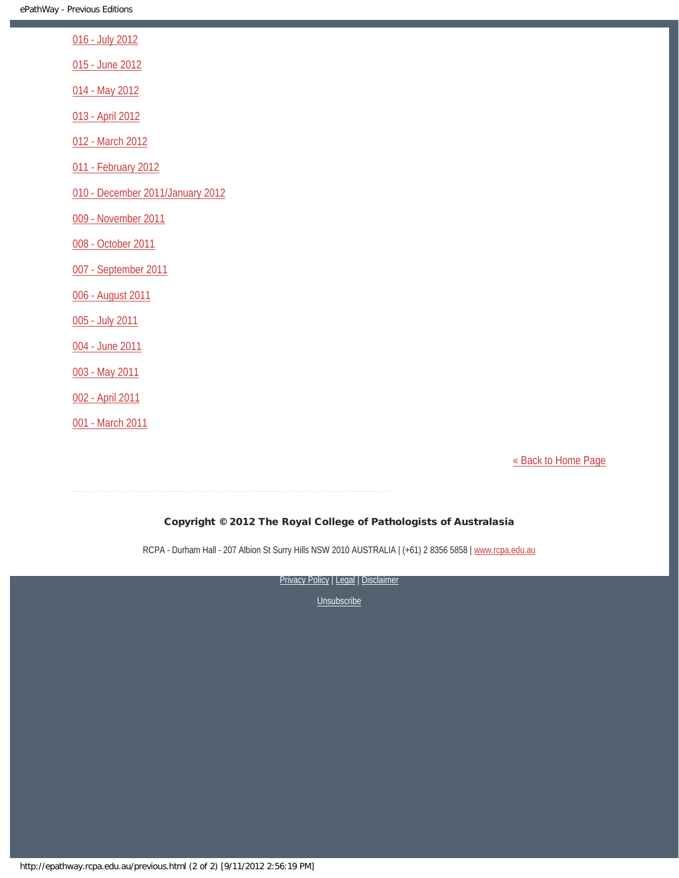| 016 - July 2012                  |  |  |
|----------------------------------|--|--|
| 015 - June 2012                  |  |  |
| 014 - May 2012                   |  |  |
| 013 - April 2012                 |  |  |
| 012 - March 2012                 |  |  |
| 011 - February 2012              |  |  |
| 010 - December 2011/January 2012 |  |  |
| 009 - November 2011              |  |  |
| 008 - October 2011               |  |  |
| 007 - September 2011             |  |  |
| 006 - August 2011                |  |  |
| 005 - July 2011                  |  |  |
| 004 - June 2011                  |  |  |
| 003 - May 2011                   |  |  |
| 002 - April 2011                 |  |  |
| 001 - March 2011                 |  |  |

[« Back to Home Page](http://epathway.rcpa.edu.au/index.html)

### Copyright © 2012 The Royal College of Pathologists of Australasia

RCPA - Durham Hall - 207 Albion St Surry Hills NSW 2010 AUSTRALIA | (+61) 2 8356 5858 | [www.rcpa.edu.au](http://www.rcpa.edu.au/)

[Privacy Policy](http://www.rcpa.edu.au/Privacy.htm) | [Legal](http://www.rcpa.edu.au/Legal.htm) | Disclaimer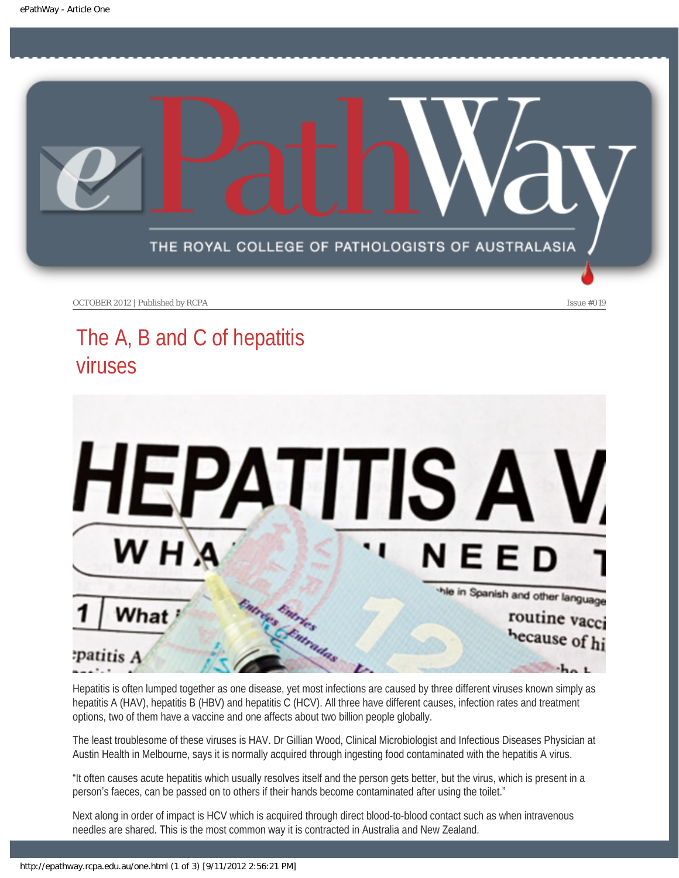<span id="page-6-0"></span>

# The A, B and C of hepatitis viruses



Hepatitis is often lumped together as one disease, yet most infections are caused by three different viruses known simply as hepatitis A (HAV), hepatitis B (HBV) and hepatitis C (HCV). All three have different causes, infection rates and treatment options, two of them have a vaccine and one affects about two billion people globally.

The least troublesome of these viruses is HAV. Dr Gillian Wood, Clinical Microbiologist and Infectious Diseases Physician at Austin Health in Melbourne, says it is normally acquired through ingesting food contaminated with the hepatitis A virus.

"It often causes acute hepatitis which usually resolves itself and the person gets better, but the virus, which is present in a person's faeces, can be passed on to others if their hands become contaminated after using the toilet."

Next along in order of impact is HCV which is acquired through direct blood-to-blood contact such as when intravenous needles are shared. This is the most common way it is contracted in Australia and New Zealand.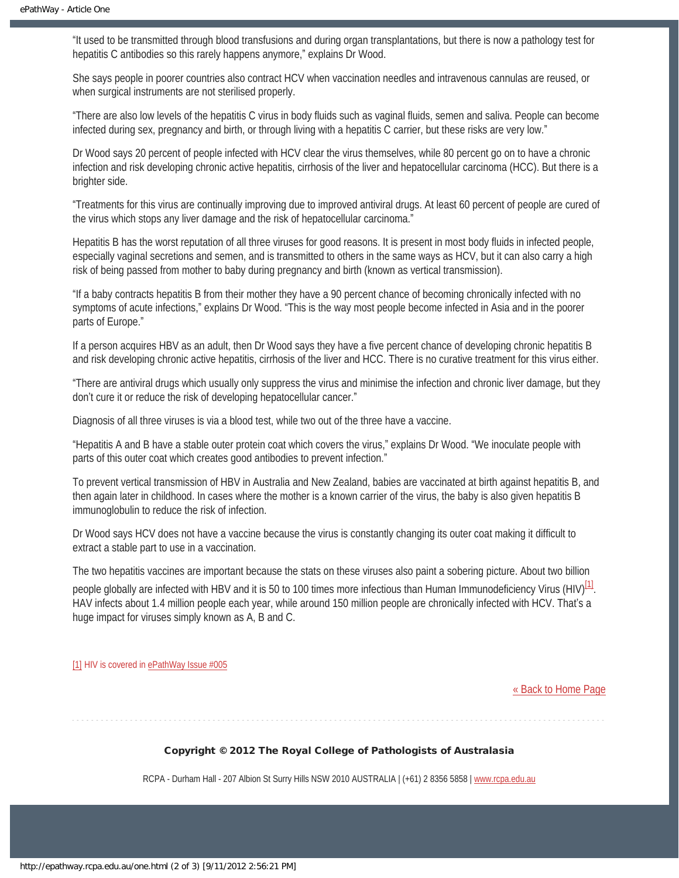"It used to be transmitted through blood transfusions and during organ transplantations, but there is now a pathology test for hepatitis C antibodies so this rarely happens anymore," explains Dr Wood.

She says people in poorer countries also contract HCV when vaccination needles and intravenous cannulas are reused, or when surgical instruments are not sterilised properly.

"There are also low levels of the hepatitis C virus in body fluids such as vaginal fluids, semen and saliva. People can become infected during sex, pregnancy and birth, or through living with a hepatitis C carrier, but these risks are very low."

Dr Wood says 20 percent of people infected with HCV clear the virus themselves, while 80 percent go on to have a chronic infection and risk developing chronic active hepatitis, cirrhosis of the liver and hepatocellular carcinoma (HCC). But there is a brighter side.

"Treatments for this virus are continually improving due to improved antiviral drugs. At least 60 percent of people are cured of the virus which stops any liver damage and the risk of hepatocellular carcinoma."

Hepatitis B has the worst reputation of all three viruses for good reasons. It is present in most body fluids in infected people, especially vaginal secretions and semen, and is transmitted to others in the same ways as HCV, but it can also carry a high risk of being passed from mother to baby during pregnancy and birth (known as vertical transmission).

"If a baby contracts hepatitis B from their mother they have a 90 percent chance of becoming chronically infected with no symptoms of acute infections," explains Dr Wood. "This is the way most people become infected in Asia and in the poorer parts of Europe."

If a person acquires HBV as an adult, then Dr Wood says they have a five percent chance of developing chronic hepatitis B and risk developing chronic active hepatitis, cirrhosis of the liver and HCC. There is no curative treatment for this virus either.

"There are antiviral drugs which usually only suppress the virus and minimise the infection and chronic liver damage, but they don't cure it or reduce the risk of developing hepatocellular cancer."

Diagnosis of all three viruses is via a blood test, while two out of the three have a vaccine.

"Hepatitis A and B have a stable outer protein coat which covers the virus," explains Dr Wood. "We inoculate people with parts of this outer coat which creates good antibodies to prevent infection."

To prevent vertical transmission of HBV in Australia and New Zealand, babies are vaccinated at birth against hepatitis B, and then again later in childhood. In cases where the mother is a known carrier of the virus, the baby is also given hepatitis B immunoglobulin to reduce the risk of infection.

Dr Wood says HCV does not have a vaccine because the virus is constantly changing its outer coat making it difficult to extract a stable part to use in a vaccination.

The two hepatitis vaccines are important because the stats on these viruses also paint a sobering picture. About two billion

<span id="page-7-1"></span>people globally are infected with HBV and it is 50 to 100 times more infectious than Human Immunodeficiency Virus (HIV)<sup>[\[1\]](#page-7-0)</sup>. HAV infects about 1.4 million people each year, while around 150 million people are chronically infected with HCV. That's a huge impact for viruses simply known as A, B and C.

#### <span id="page-7-0"></span>[\[1\]](#page-7-1) HIV is covered in [ePathWay Issue #005](http://epathway.rcpa.edu.au/previous/005_0711.pdf)

#### [« Back to Home Page](http://epathway.rcpa.edu.au/index.html)

#### Copyright © 2012 The Royal College of Pathologists of Australasia

RCPA - Durham Hall - 207 Albion St Surry Hills NSW 2010 AUSTRALIA | (+61) 2 8356 5858 | [www.rcpa.edu.au](http://www.rcpa.edu.au/)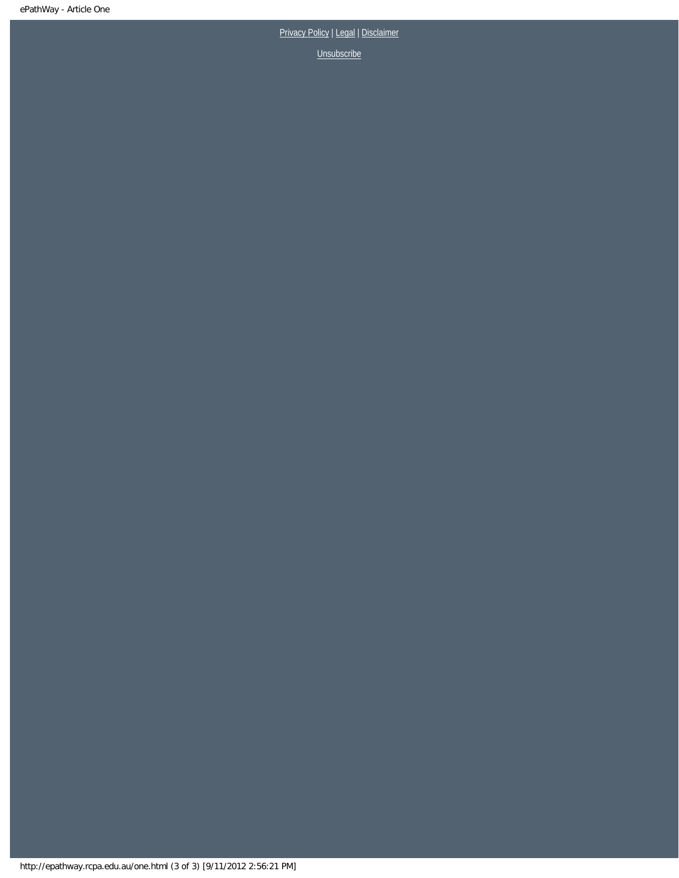[Privacy Policy](http://www.rcpa.edu.au/Privacy.htm) | [Legal](http://www.rcpa.edu.au/Legal.htm) | Disclaimer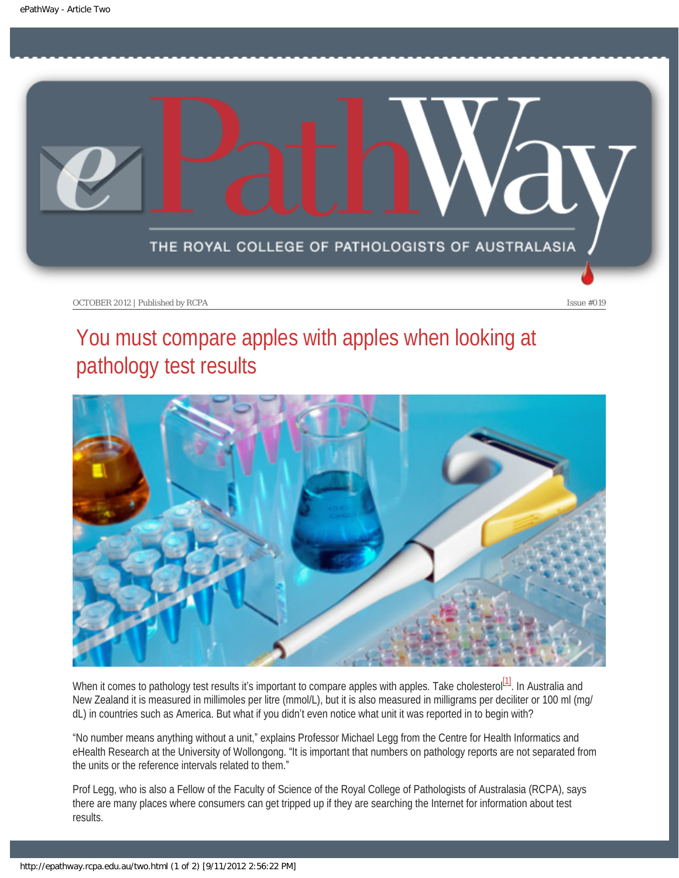<span id="page-9-0"></span>

# You must compare apples with apples when looking at pathology test results



<span id="page-9-1"></span>When it comes to pathology test results it's important to compare apples with apples. Take cholesterol<sup>[1]</sup>. In Australia and New Zealand it is measured in millimoles per litre (mmol/L), but it is also measured in milligrams per deciliter or 100 ml (mg/ dL) in countries such as America. But what if you didn't even notice what unit it was reported in to begin with?

"No number means anything without a unit," explains Professor Michael Legg from the Centre for Health Informatics and eHealth Research at the University of Wollongong. "It is important that numbers on pathology reports are not separated from the units or the reference intervals related to them."

Prof Legg, who is also a Fellow of the Faculty of Science of the Royal College of Pathologists of Australasia (RCPA), says there are many places where consumers can get tripped up if they are searching the Internet for information about test results.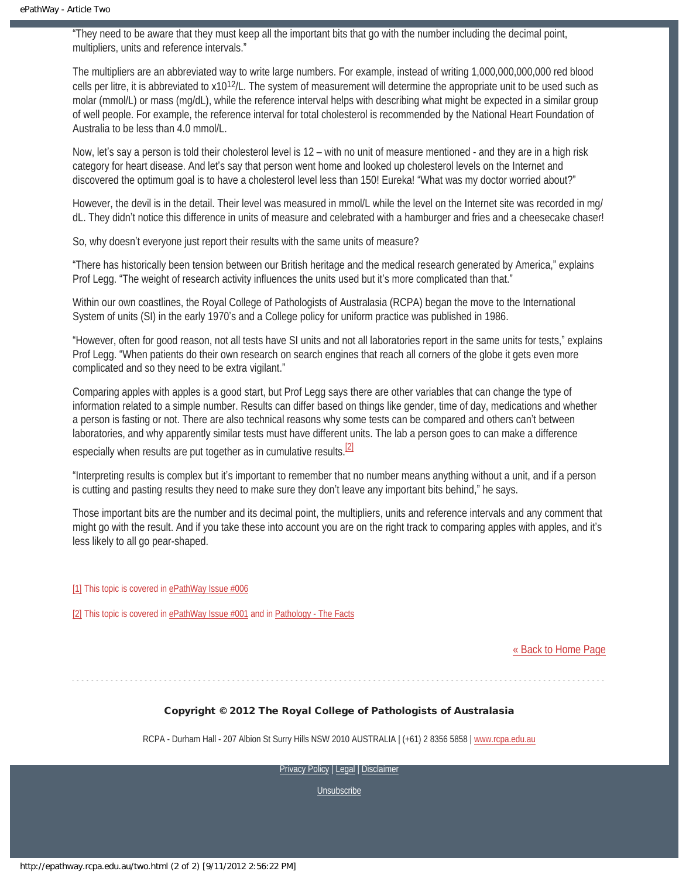"They need to be aware that they must keep all the important bits that go with the number including the decimal point, multipliers, units and reference intervals."

The multipliers are an abbreviated way to write large numbers. For example, instead of writing 1,000,000,000,000 red blood cells per litre, it is abbreviated to x1012/L. The system of measurement will determine the appropriate unit to be used such as molar (mmol/L) or mass (mg/dL), while the reference interval helps with describing what might be expected in a similar group of well people. For example, the reference interval for total cholesterol is recommended by the National Heart Foundation of Australia to be less than 4.0 mmol/L.

Now, let's say a person is told their cholesterol level is 12 – with no unit of measure mentioned - and they are in a high risk category for heart disease. And let's say that person went home and looked up cholesterol levels on the Internet and discovered the optimum goal is to have a cholesterol level less than 150! Eureka! "What was my doctor worried about?"

However, the devil is in the detail. Their level was measured in mmol/L while the level on the Internet site was recorded in mg/ dL. They didn't notice this difference in units of measure and celebrated with a hamburger and fries and a cheesecake chaser!

So, why doesn't everyone just report their results with the same units of measure?

"There has historically been tension between our British heritage and the medical research generated by America," explains Prof Legg. "The weight of research activity influences the units used but it's more complicated than that."

Within our own coastlines, the Royal College of Pathologists of Australasia (RCPA) began the move to the International System of units (SI) in the early 1970's and a College policy for uniform practice was published in 1986.

"However, often for good reason, not all tests have SI units and not all laboratories report in the same units for tests," explains Prof Legg. "When patients do their own research on search engines that reach all corners of the globe it gets even more complicated and so they need to be extra vigilant."

Comparing apples with apples is a good start, but Prof Legg says there are other variables that can change the type of information related to a simple number. Results can differ based on things like gender, time of day, medications and whether a person is fasting or not. There are also technical reasons why some tests can be compared and others can't between laboratories, and why apparently similar tests must have different units. The lab a person goes to can make a difference

<span id="page-10-2"></span>especially when results are put together as in cumulative results.  $2$ 

"Interpreting results is complex but it's important to remember that no number means anything without a unit, and if a person is cutting and pasting results they need to make sure they don't leave any important bits behind," he says.

Those important bits are the number and its decimal point, the multipliers, units and reference intervals and any comment that might go with the result. And if you take these into account you are on the right track to comparing apples with apples, and it's less likely to all go pear-shaped.

<span id="page-10-0"></span>[\[1\]](#page-9-1) This topic is covered in [ePathWay Issue #006](http://epathway.rcpa.edu.au/previous/006_0811.pdf)

<span id="page-10-1"></span>[\[2\]](#page-10-2) This topic is covered in [ePathWay Issue #001](http://epathway.rcpa.edu.au/previous/001_0311.pdf) and in [Pathology - The Facts](http://www.rcpa.edu.au//static/File/Asset%20library/public%20documents/Publications/Fact%20Files/Pathology_FactSheets_4.pdf)

#### [« Back to Home Page](http://epathway.rcpa.edu.au/index.html)

#### Copyright © 2012 The Royal College of Pathologists of Australasia

RCPA - Durham Hall - 207 Albion St Surry Hills NSW 2010 AUSTRALIA | (+61) 2 8356 5858 | [www.rcpa.edu.au](http://www.rcpa.edu.au/)

[Privacy Policy](http://www.rcpa.edu.au/Privacy.htm) | [Legal](http://www.rcpa.edu.au/Legal.htm) | Disclaimer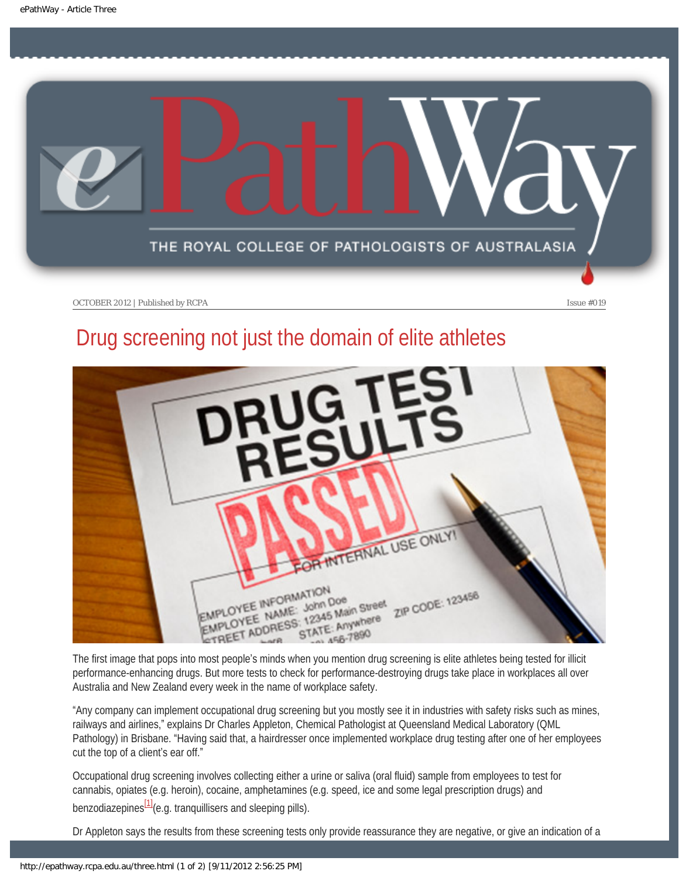<span id="page-11-0"></span>

# Drug screening not just the domain of elite athletes



The first image that pops into most people's minds when you mention drug screening is elite athletes being tested for illicit performance-enhancing drugs. But more tests to check for performance-destroying drugs take place in workplaces all over Australia and New Zealand every week in the name of workplace safety.

"Any company can implement occupational drug screening but you mostly see it in industries with safety risks such as mines, railways and airlines," explains Dr Charles Appleton, Chemical Pathologist at Queensland Medical Laboratory (QML Pathology) in Brisbane. "Having said that, a hairdresser once implemented workplace drug testing after one of her employees cut the top of a client's ear off."

Occupational drug screening involves collecting either a urine or saliva (oral fluid) sample from employees to test for cannabis, opiates (e.g. heroin), cocaine, amphetamines (e.g. speed, ice and some legal prescription drugs) and benzodiazepines $\frac{11}{2}$ (e.g. tranquillisers and sleeping pills).

<span id="page-11-1"></span>Dr Appleton says the results from these screening tests only provide reassurance they are negative, or give an indication of a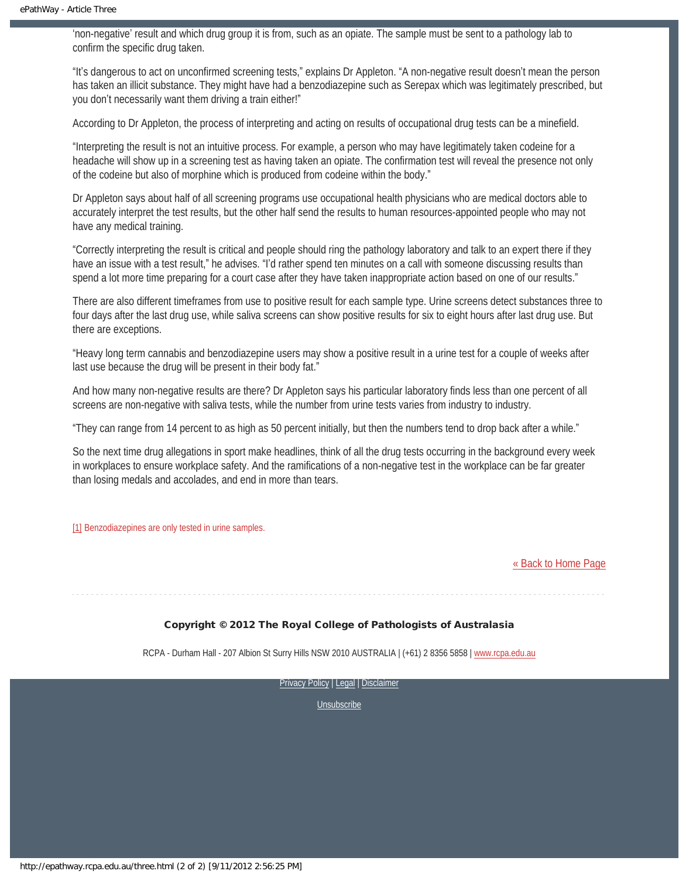'non-negative' result and which drug group it is from, such as an opiate. The sample must be sent to a pathology lab to confirm the specific drug taken.

"It's dangerous to act on unconfirmed screening tests," explains Dr Appleton. "A non-negative result doesn't mean the person has taken an illicit substance. They might have had a benzodiazepine such as Serepax which was legitimately prescribed, but you don't necessarily want them driving a train either!"

According to Dr Appleton, the process of interpreting and acting on results of occupational drug tests can be a minefield.

"Interpreting the result is not an intuitive process. For example, a person who may have legitimately taken codeine for a headache will show up in a screening test as having taken an opiate. The confirmation test will reveal the presence not only of the codeine but also of morphine which is produced from codeine within the body."

Dr Appleton says about half of all screening programs use occupational health physicians who are medical doctors able to accurately interpret the test results, but the other half send the results to human resources-appointed people who may not have any medical training.

"Correctly interpreting the result is critical and people should ring the pathology laboratory and talk to an expert there if they have an issue with a test result," he advises. "I'd rather spend ten minutes on a call with someone discussing results than spend a lot more time preparing for a court case after they have taken inappropriate action based on one of our results."

There are also different timeframes from use to positive result for each sample type. Urine screens detect substances three to four days after the last drug use, while saliva screens can show positive results for six to eight hours after last drug use. But there are exceptions.

"Heavy long term cannabis and benzodiazepine users may show a positive result in a urine test for a couple of weeks after last use because the drug will be present in their body fat."

And how many non-negative results are there? Dr Appleton says his particular laboratory finds less than one percent of all screens are non-negative with saliva tests, while the number from urine tests varies from industry to industry.

"They can range from 14 percent to as high as 50 percent initially, but then the numbers tend to drop back after a while."

So the next time drug allegations in sport make headlines, think of all the drug tests occurring in the background every week in workplaces to ensure workplace safety. And the ramifications of a non-negative test in the workplace can be far greater than losing medals and accolades, and end in more than tears.

<span id="page-12-0"></span>[\[1\]](#page-11-1) Benzodiazepines are only tested in urine samples.

[« Back to Home Page](http://epathway.rcpa.edu.au/index.html)

#### Copyright © 2012 The Royal College of Pathologists of Australasia

RCPA - Durham Hall - 207 Albion St Surry Hills NSW 2010 AUSTRALIA | (+61) 2 8356 5858 | [www.rcpa.edu.au](http://www.rcpa.edu.au/)

[Privacy Policy](http://www.rcpa.edu.au/Privacy.htm) | [Legal](http://www.rcpa.edu.au/Legal.htm) | Disclaimer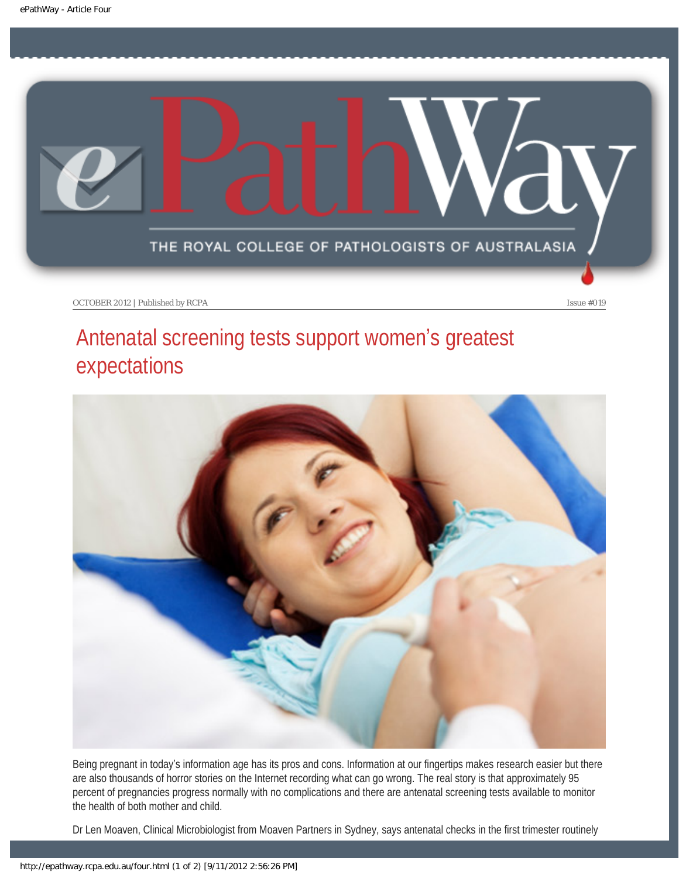<span id="page-13-0"></span>

# Antenatal screening tests support women's greatest expectations



Being pregnant in today's information age has its pros and cons. Information at our fingertips makes research easier but there are also thousands of horror stories on the Internet recording what can go wrong. The real story is that approximately 95 percent of pregnancies progress normally with no complications and there are antenatal screening tests available to monitor the health of both mother and child.

Dr Len Moaven, Clinical Microbiologist from Moaven Partners in Sydney, says antenatal checks in the first trimester routinely